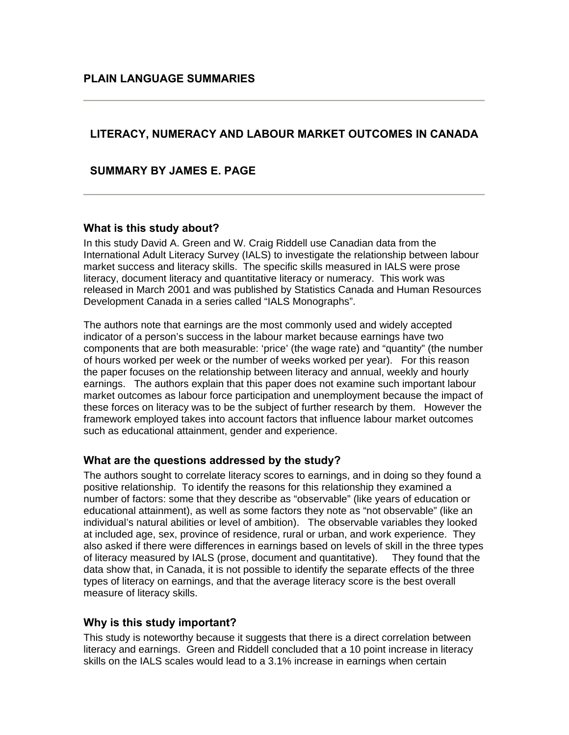# **LITERACY, NUMERACY AND LABOUR MARKET OUTCOMES IN CANADA**

**SUMMARY BY JAMES E. PAGE**

#### **What is this study about?**

In this study David A. Green and W. Craig Riddell use Canadian data from the International Adult Literacy Survey (IALS) to investigate the relationship between labour market success and literacy skills. The specific skills measured in IALS were prose literacy, document literacy and quantitative literacy or numeracy. This work was released in March 2001 and was published by Statistics Canada and Human Resources Development Canada in a series called "IALS Monographs".

The authors note that earnings are the most commonly used and widely accepted indicator of a person's success in the labour market because earnings have two components that are both measurable: 'price' (the wage rate) and "quantity" (the number of hours worked per week or the number of weeks worked per year). For this reason the paper focuses on the relationship between literacy and annual, weekly and hourly earnings. The authors explain that this paper does not examine such important labour market outcomes as labour force participation and unemployment because the impact of these forces on literacy was to be the subject of further research by them. However the framework employed takes into account factors that influence labour market outcomes such as educational attainment, gender and experience.

## **What are the questions addressed by the study?**

The authors sought to correlate literacy scores to earnings, and in doing so they found a positive relationship. To identify the reasons for this relationship they examined a number of factors: some that they describe as "observable" (like years of education or educational attainment), as well as some factors they note as "not observable" (like an individual's natural abilities or level of ambition). The observable variables they looked at included age, sex, province of residence, rural or urban, and work experience. They also asked if there were differences in earnings based on levels of skill in the three types of literacy measured by IALS (prose, document and quantitative). They found that the data show that, in Canada, it is not possible to identify the separate effects of the three types of literacy on earnings, and that the average literacy score is the best overall measure of literacy skills.

## **Why is this study important?**

This study is noteworthy because it suggests that there is a direct correlation between literacy and earnings. Green and Riddell concluded that a 10 point increase in literacy skills on the IALS scales would lead to a 3.1% increase in earnings when certain